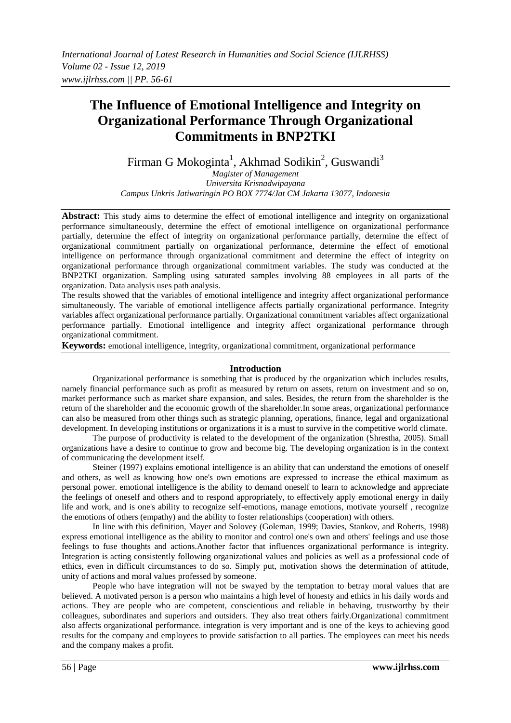# **The Influence of Emotional Intelligence and Integrity on Organizational Performance Through Organizational Commitments in BNP2TKI**

Firman G Mokoginta<sup>1</sup>, Akhmad Sodikin<sup>2</sup>, Guswandi<sup>3</sup>

*Magister of Management Universita Krisnadwipayana Campus Unkris Jatiwaringin PO BOX 7774/Jat CM Jakarta 13077, Indonesia*

**Abstract:** This study aims to determine the effect of emotional intelligence and integrity on organizational performance simultaneously, determine the effect of emotional intelligence on organizational performance partially, determine the effect of integrity on organizational performance partially, determine the effect of organizational commitment partially on organizational performance, determine the effect of emotional intelligence on performance through organizational commitment and determine the effect of integrity on organizational performance through organizational commitment variables. The study was conducted at the BNP2TKI organization. Sampling using saturated samples involving 88 employees in all parts of the organization. Data analysis uses path analysis.

The results showed that the variables of emotional intelligence and integrity affect organizational performance simultaneously. The variable of emotional intelligence affects partially organizational performance. Integrity variables affect organizational performance partially. Organizational commitment variables affect organizational performance partially. Emotional intelligence and integrity affect organizational performance through organizational commitment.

**Keywords:** emotional intelligence, integrity, organizational commitment, organizational performance

# **Introduction**

Organizational performance is something that is produced by the organization which includes results, namely financial performance such as profit as measured by return on assets, return on investment and so on, market performance such as market share expansion, and sales. Besides, the return from the shareholder is the return of the shareholder and the economic growth of the shareholder.In some areas, organizational performance can also be measured from other things such as strategic planning, operations, finance, legal and organizational development. In developing institutions or organizations it is a must to survive in the competitive world climate.

The purpose of productivity is related to the development of the organization (Shrestha, 2005). Small organizations have a desire to continue to grow and become big. The developing organization is in the context of communicating the development itself.

Steiner (1997) explains emotional intelligence is an ability that can understand the emotions of oneself and others, as well as knowing how one's own emotions are expressed to increase the ethical maximum as personal power. emotional intelligence is the ability to demand oneself to learn to acknowledge and appreciate the feelings of oneself and others and to respond appropriately, to effectively apply emotional energy in daily life and work, and is one's ability to recognize self-emotions, manage emotions, motivate yourself , recognize the emotions of others (empathy) and the ability to foster relationships (cooperation) with others.

In line with this definition, Mayer and Solovey (Goleman, 1999; Davies, Stankov, and Roberts, 1998) express emotional intelligence as the ability to monitor and control one's own and others' feelings and use those feelings to fuse thoughts and actions.Another factor that influences organizational performance is integrity. Integration is acting consistently following organizational values and policies as well as a professional code of ethics, even in difficult circumstances to do so. Simply put, motivation shows the determination of attitude, unity of actions and moral values professed by someone.

People who have integration will not be swayed by the temptation to betray moral values that are believed. A motivated person is a person who maintains a high level of honesty and ethics in his daily words and actions. They are people who are competent, conscientious and reliable in behaving, trustworthy by their colleagues, subordinates and superiors and outsiders. They also treat others fairly.Organizational commitment also affects organizational performance. integration is very important and is one of the keys to achieving good results for the company and employees to provide satisfaction to all parties. The employees can meet his needs and the company makes a profit.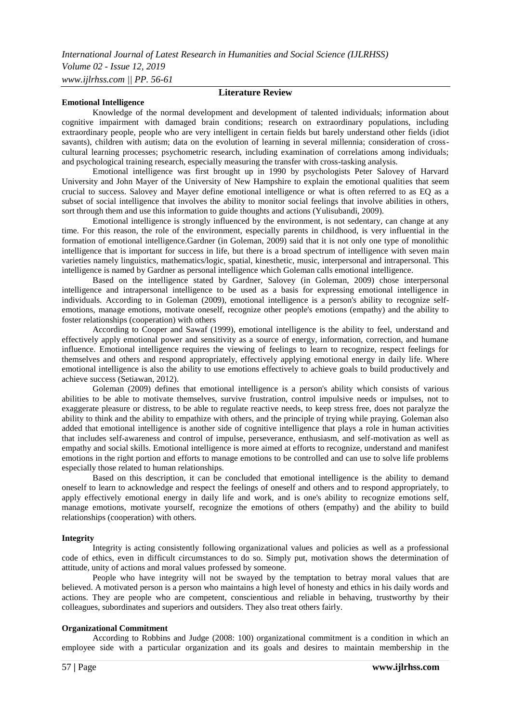#### **Emotional Intelligence**

# **Literature Review**

Knowledge of the normal development and development of talented individuals; information about cognitive impairment with damaged brain conditions; research on extraordinary populations, including extraordinary people, people who are very intelligent in certain fields but barely understand other fields (idiot savants), children with autism; data on the evolution of learning in several millennia; consideration of crosscultural learning processes; psychometric research, including examination of correlations among individuals; and psychological training research, especially measuring the transfer with cross-tasking analysis.

Emotional intelligence was first brought up in 1990 by psychologists Peter Salovey of Harvard University and John Mayer of the University of New Hampshire to explain the emotional qualities that seem crucial to success. Salovey and Mayer define emotional intelligence or what is often referred to as EQ as a subset of social intelligence that involves the ability to monitor social feelings that involve abilities in others, sort through them and use this information to guide thoughts and actions (Yulisubandi, 2009).

Emotional intelligence is strongly influenced by the environment, is not sedentary, can change at any time. For this reason, the role of the environment, especially parents in childhood, is very influential in the formation of emotional intelligence.Gardner (in Goleman, 2009) said that it is not only one type of monolithic intelligence that is important for success in life, but there is a broad spectrum of intelligence with seven main varieties namely linguistics, mathematics/logic, spatial, kinesthetic, music, interpersonal and intrapersonal. This intelligence is named by Gardner as personal intelligence which Goleman calls emotional intelligence.

Based on the intelligence stated by Gardner, Salovey (in Goleman, 2009) chose interpersonal intelligence and intrapersonal intelligence to be used as a basis for expressing emotional intelligence in individuals. According to in Goleman (2009), emotional intelligence is a person's ability to recognize selfemotions, manage emotions, motivate oneself, recognize other people's emotions (empathy) and the ability to foster relationships (cooperation) with others

According to Cooper and Sawaf (1999), emotional intelligence is the ability to feel, understand and effectively apply emotional power and sensitivity as a source of energy, information, correction, and humane influence. Emotional intelligence requires the viewing of feelings to learn to recognize, respect feelings for themselves and others and respond appropriately, effectively applying emotional energy in daily life. Where emotional intelligence is also the ability to use emotions effectively to achieve goals to build productively and achieve success (Setiawan, 2012).

Goleman (2009) defines that emotional intelligence is a person's ability which consists of various abilities to be able to motivate themselves, survive frustration, control impulsive needs or impulses, not to exaggerate pleasure or distress, to be able to regulate reactive needs, to keep stress free, does not paralyze the ability to think and the ability to empathize with others, and the principle of trying while praying. Goleman also added that emotional intelligence is another side of cognitive intelligence that plays a role in human activities that includes self-awareness and control of impulse, perseverance, enthusiasm, and self-motivation as well as empathy and social skills. Emotional intelligence is more aimed at efforts to recognize, understand and manifest emotions in the right portion and efforts to manage emotions to be controlled and can use to solve life problems especially those related to human relationships.

Based on this description, it can be concluded that emotional intelligence is the ability to demand oneself to learn to acknowledge and respect the feelings of oneself and others and to respond appropriately, to apply effectively emotional energy in daily life and work, and is one's ability to recognize emotions self, manage emotions, motivate yourself, recognize the emotions of others (empathy) and the ability to build relationships (cooperation) with others.

#### **Integrity**

Integrity is acting consistently following organizational values and policies as well as a professional code of ethics, even in difficult circumstances to do so. Simply put, motivation shows the determination of attitude, unity of actions and moral values professed by someone.

People who have integrity will not be swayed by the temptation to betray moral values that are believed. A motivated person is a person who maintains a high level of honesty and ethics in his daily words and actions. They are people who are competent, conscientious and reliable in behaving, trustworthy by their colleagues, subordinates and superiors and outsiders. They also treat others fairly.

## **Organizational Commitment**

According to Robbins and Judge (2008: 100) organizational commitment is a condition in which an employee side with a particular organization and its goals and desires to maintain membership in the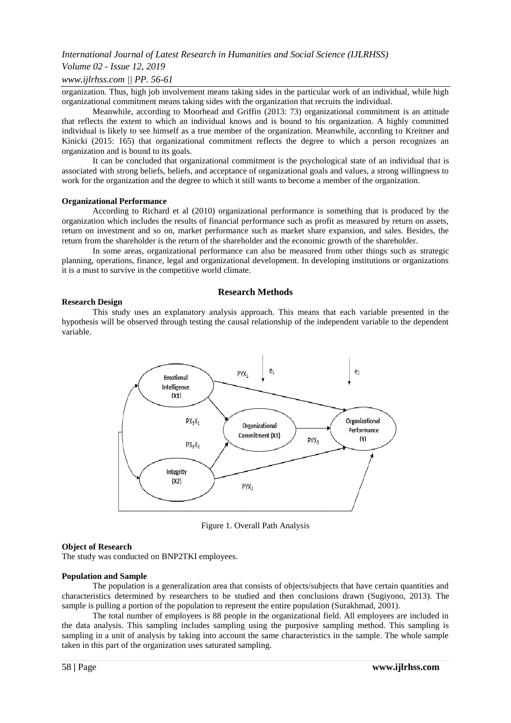# *International Journal of Latest Research in Humanities and Social Science (IJLRHSS)*

## *Volume 02 - Issue 12, 2019*

#### *www.ijlrhss.com || PP. 56-61*

organization. Thus, high job involvement means taking sides in the particular work of an individual, while high organizational commitment means taking sides with the organization that recruits the individual.

Meanwhile, according to Moorhead and Griffin (2013: 73) organizational commitment is an attitude that reflects the extent to which an individual knows and is bound to his organization. A highly committed individual is likely to see himself as a true member of the organization. Meanwhile, according to Kreitner and Kinicki (2015: 165) that organizational commitment reflects the degree to which a person recognizes an organization and is bound to its goals.

It can be concluded that organizational commitment is the psychological state of an individual that is associated with strong beliefs, beliefs, and acceptance of organizational goals and values, a strong willingness to work for the organization and the degree to which it still wants to become a member of the organization.

#### **Organizational Performance**

According to Richard et al (2010) organizational performance is something that is produced by the organization which includes the results of financial performance such as profit as measured by return on assets, return on investment and so on, market performance such as market share expansion, and sales. Besides, the return from the shareholder is the return of the shareholder and the economic growth of the shareholder.

In some areas, organizational performance can also be measured from other things such as strategic planning, operations, finance, legal and organizational development. In developing institutions or organizations it is a must to survive in the competitive world climate.

#### **Research Methods**

#### **Research Design**

This study uses an explanatory analysis approach. This means that each variable presented in the hypothesis will be observed through testing the causal relationship of the independent variable to the dependent variable.



Figure 1. Overall Path Analysis

#### **Object of Research**

The study was conducted on BNP2TKI employees.

#### **Population and Sample**

The population is a generalization area that consists of objects/subjects that have certain quantities and characteristics determined by researchers to be studied and then conclusions drawn (Sugiyono, 2013). The sample is pulling a portion of the population to represent the entire population (Surakhmad, 2001).

The total number of employees is 88 people in the organizational field. All employees are included in the data analysis. This sampling includes sampling using the purposive sampling method. This sampling is sampling in a unit of analysis by taking into account the same characteristics in the sample. The whole sample taken in this part of the organization uses saturated sampling.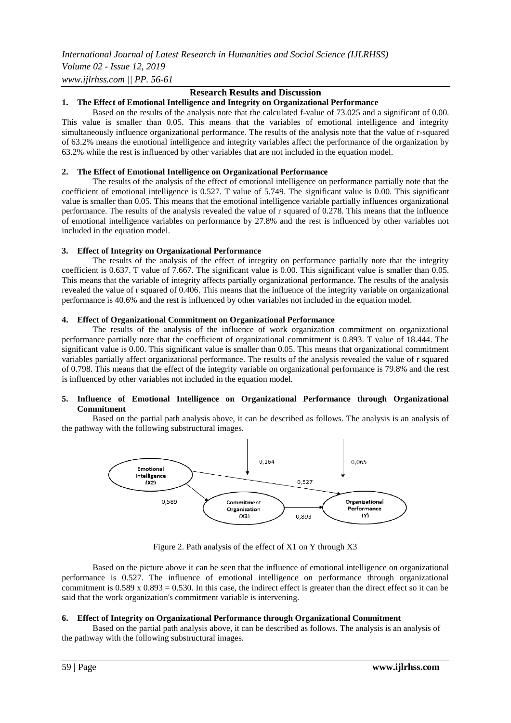*International Journal of Latest Research in Humanities and Social Science (IJLRHSS)*

*Volume 02 - Issue 12, 2019 www.ijlrhss.com || PP. 56-61*

# **Research Results and Discussion**

# **1. The Effect of Emotional Intelligence and Integrity on Organizational Performance**

Based on the results of the analysis note that the calculated f-value of 73.025 and a significant of 0.00. This value is smaller than 0.05. This means that the variables of emotional intelligence and integrity simultaneously influence organizational performance. The results of the analysis note that the value of r-squared of 63.2% means the emotional intelligence and integrity variables affect the performance of the organization by 63.2% while the rest is influenced by other variables that are not included in the equation model.

# **2. The Effect of Emotional Intelligence on Organizational Performance**

The results of the analysis of the effect of emotional intelligence on performance partially note that the coefficient of emotional intelligence is 0.527. T value of 5.749. The significant value is 0.00. This significant value is smaller than 0.05. This means that the emotional intelligence variable partially influences organizational performance. The results of the analysis revealed the value of r squared of 0.278. This means that the influence of emotional intelligence variables on performance by 27.8% and the rest is influenced by other variables not included in the equation model.

# **3. Effect of Integrity on Organizational Performance**

The results of the analysis of the effect of integrity on performance partially note that the integrity coefficient is 0.637. T value of 7.667. The significant value is 0.00. This significant value is smaller than 0.05. This means that the variable of integrity affects partially organizational performance. The results of the analysis revealed the value of r squared of 0.406. This means that the influence of the integrity variable on organizational performance is 40.6% and the rest is influenced by other variables not included in the equation model.

## **4. Effect of Organizational Commitment on Organizational Performance**

The results of the analysis of the influence of work organization commitment on organizational performance partially note that the coefficient of organizational commitment is 0.893. T value of 18.444. The significant value is 0.00. This significant value is smaller than 0.05. This means that organizational commitment variables partially affect organizational performance. The results of the analysis revealed the value of r squared of 0.798. This means that the effect of the integrity variable on organizational performance is 79.8% and the rest is influenced by other variables not included in the equation model.

## **5. Influence of Emotional Intelligence on Organizational Performance through Organizational Commitment**

Based on the partial path analysis above, it can be described as follows. The analysis is an analysis of the pathway with the following substructural images.



Figure 2. Path analysis of the effect of X1 on Y through X3

Based on the picture above it can be seen that the influence of emotional intelligence on organizational performance is 0.527. The influence of emotional intelligence on performance through organizational commitment is  $0.589 \times 0.893 = 0.530$ . In this case, the indirect effect is greater than the direct effect so it can be said that the work organization's commitment variable is intervening.

## **6. Effect of Integrity on Organizational Performance through Organizational Commitment**

Based on the partial path analysis above, it can be described as follows. The analysis is an analysis of the pathway with the following substructural images.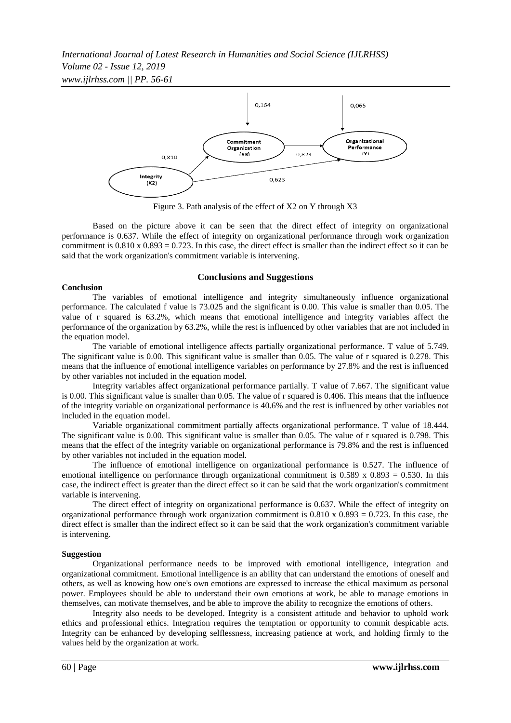*International Journal of Latest Research in Humanities and Social Science (IJLRHSS) Volume 02 - Issue 12, 2019 www.ijlrhss.com || PP. 56-61*



Figure 3. Path analysis of the effect of X2 on Y through X3

Based on the picture above it can be seen that the direct effect of integrity on organizational performance is 0.637. While the effect of integrity on organizational performance through work organization commitment is  $0.810 \times 0.893 = 0.723$ . In this case, the direct effect is smaller than the indirect effect so it can be said that the work organization's commitment variable is intervening.

# **Conclusions and Suggestions**

## **Conclusion**

The variables of emotional intelligence and integrity simultaneously influence organizational performance. The calculated f value is 73.025 and the significant is 0.00. This value is smaller than 0.05. The value of r squared is 63.2%, which means that emotional intelligence and integrity variables affect the performance of the organization by 63.2%, while the rest is influenced by other variables that are not included in the equation model.

The variable of emotional intelligence affects partially organizational performance. T value of 5.749. The significant value is 0.00. This significant value is smaller than 0.05. The value of r squared is 0.278. This means that the influence of emotional intelligence variables on performance by 27.8% and the rest is influenced by other variables not included in the equation model.

Integrity variables affect organizational performance partially. T value of 7.667. The significant value is 0.00. This significant value is smaller than 0.05. The value of r squared is 0.406. This means that the influence of the integrity variable on organizational performance is 40.6% and the rest is influenced by other variables not included in the equation model.

Variable organizational commitment partially affects organizational performance. T value of 18.444. The significant value is 0.00. This significant value is smaller than 0.05. The value of r squared is 0.798. This means that the effect of the integrity variable on organizational performance is 79.8% and the rest is influenced by other variables not included in the equation model.

The influence of emotional intelligence on organizational performance is 0.527. The influence of emotional intelligence on performance through organizational commitment is  $0.589 \times 0.893 = 0.530$ . In this case, the indirect effect is greater than the direct effect so it can be said that the work organization's commitment variable is intervening.

The direct effect of integrity on organizational performance is 0.637. While the effect of integrity on organizational performance through work organization commitment is  $0.810 \times 0.893 = 0.723$ . In this case, the direct effect is smaller than the indirect effect so it can be said that the work organization's commitment variable is intervening.

## **Suggestion**

Organizational performance needs to be improved with emotional intelligence, integration and organizational commitment. Emotional intelligence is an ability that can understand the emotions of oneself and others, as well as knowing how one's own emotions are expressed to increase the ethical maximum as personal power. Employees should be able to understand their own emotions at work, be able to manage emotions in themselves, can motivate themselves, and be able to improve the ability to recognize the emotions of others.

Integrity also needs to be developed. Integrity is a consistent attitude and behavior to uphold work ethics and professional ethics. Integration requires the temptation or opportunity to commit despicable acts. Integrity can be enhanced by developing selflessness, increasing patience at work, and holding firmly to the values held by the organization at work.